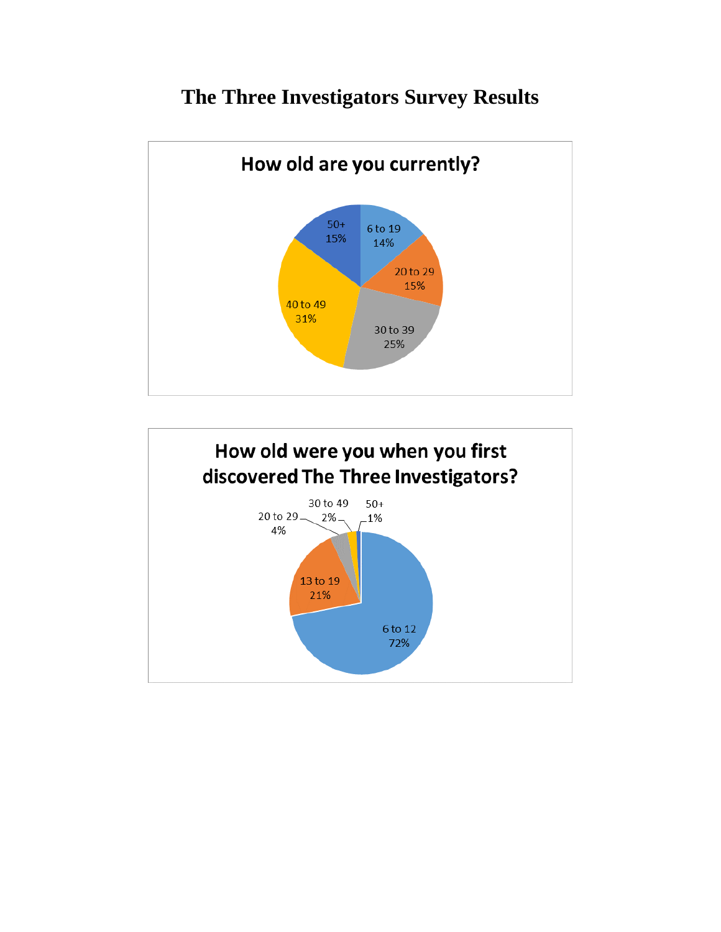## **The Three Investigators Survey Results**



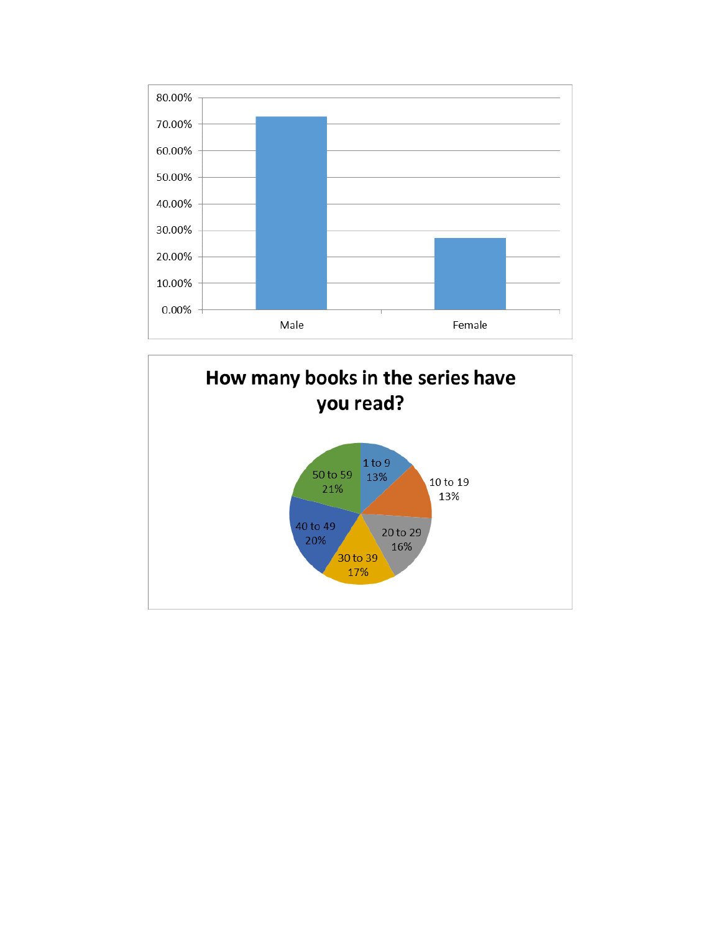

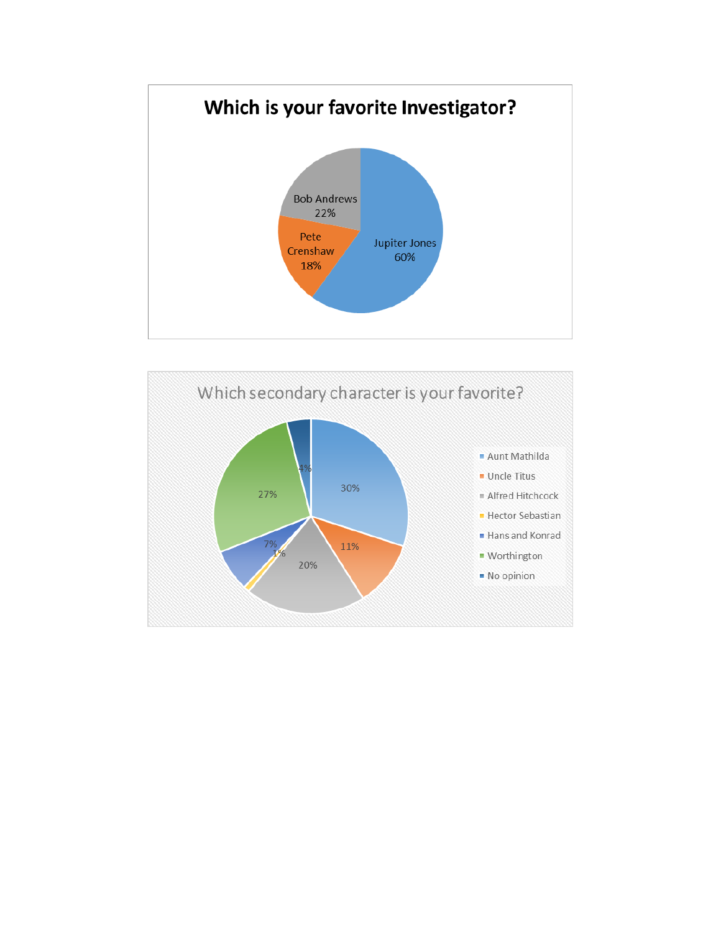

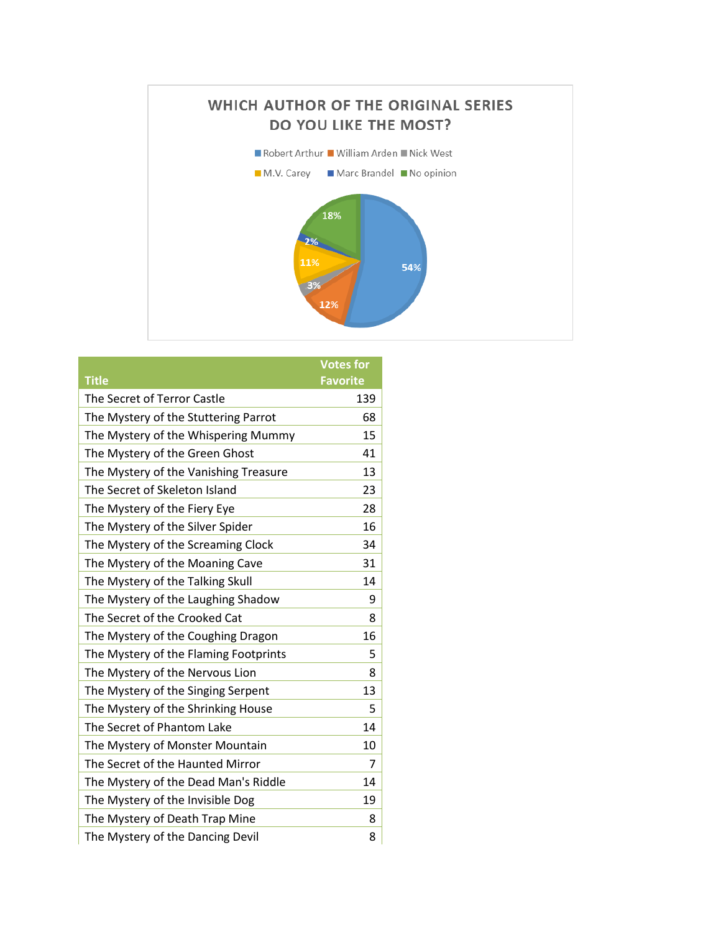

|                                       | <b>Votes for</b> |
|---------------------------------------|------------------|
| <b>Title</b>                          | <b>Favorite</b>  |
| The Secret of Terror Castle           | 139              |
| The Mystery of the Stuttering Parrot  | 68               |
| The Mystery of the Whispering Mummy   | 15               |
| The Mystery of the Green Ghost        | 41               |
| The Mystery of the Vanishing Treasure | 13               |
| The Secret of Skeleton Island         | 23               |
| The Mystery of the Fiery Eye          | 28               |
| The Mystery of the Silver Spider      | 16               |
| The Mystery of the Screaming Clock    | 34               |
| The Mystery of the Moaning Cave       | 31               |
| The Mystery of the Talking Skull      | 14               |
| The Mystery of the Laughing Shadow    | 9                |
| The Secret of the Crooked Cat         | 8                |
| The Mystery of the Coughing Dragon    | 16               |
| The Mystery of the Flaming Footprints | 5                |
| The Mystery of the Nervous Lion       | 8                |
| The Mystery of the Singing Serpent    | 13               |
| The Mystery of the Shrinking House    | 5                |
| The Secret of Phantom Lake            | 14               |
| The Mystery of Monster Mountain       | 10               |
| The Secret of the Haunted Mirror      | 7                |
| The Mystery of the Dead Man's Riddle  | 14               |
| The Mystery of the Invisible Dog      | 19               |
| The Mystery of Death Trap Mine        | 8                |
| The Mystery of the Dancing Devil      | 8                |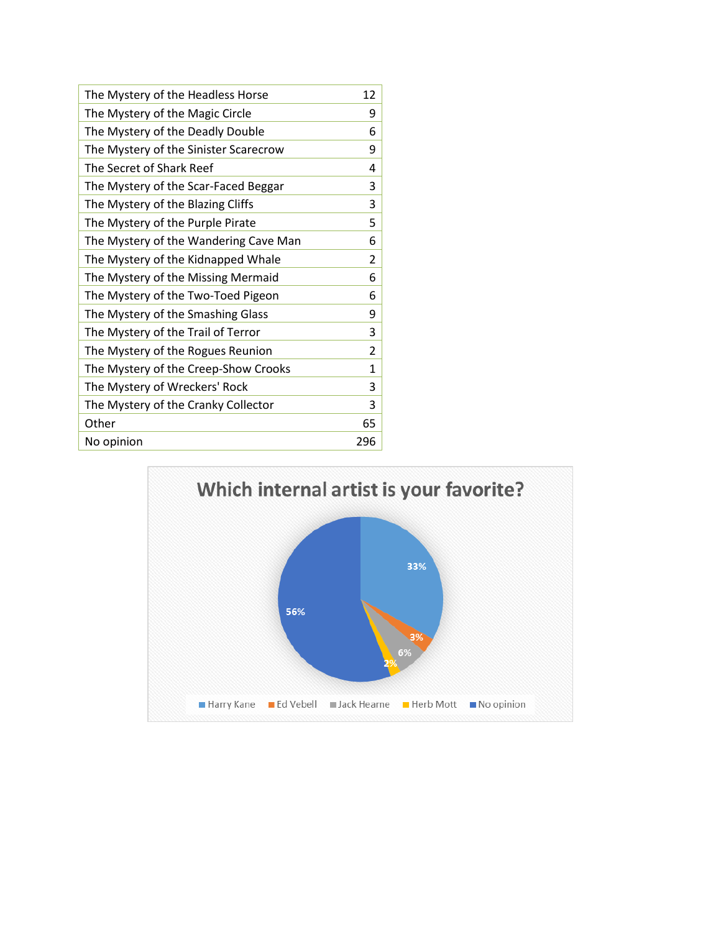| The Mystery of the Headless Horse     | 12           |
|---------------------------------------|--------------|
| The Mystery of the Magic Circle       | 9            |
| The Mystery of the Deadly Double      | 6            |
| The Mystery of the Sinister Scarecrow | 9            |
| The Secret of Shark Reef              | 4            |
| The Mystery of the Scar-Faced Beggar  | 3            |
| The Mystery of the Blazing Cliffs     | 3            |
| The Mystery of the Purple Pirate      | 5            |
| The Mystery of the Wandering Cave Man | 6            |
| The Mystery of the Kidnapped Whale    | 2            |
| The Mystery of the Missing Mermaid    | 6            |
| The Mystery of the Two-Toed Pigeon    | 6            |
| The Mystery of the Smashing Glass     | 9            |
| The Mystery of the Trail of Terror    | 3            |
| The Mystery of the Rogues Reunion     | 2            |
| The Mystery of the Creep-Show Crooks  | $\mathbf{1}$ |
| The Mystery of Wreckers' Rock         | 3            |
| The Mystery of the Cranky Collector   | 3            |
| Other                                 | 65           |
| No opinion                            | 296          |

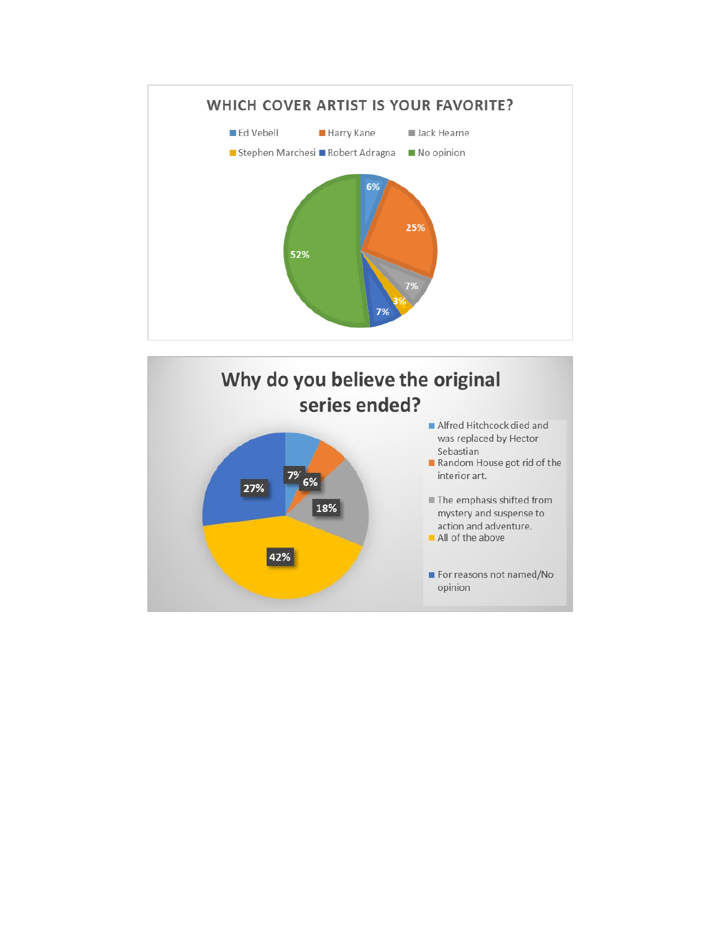